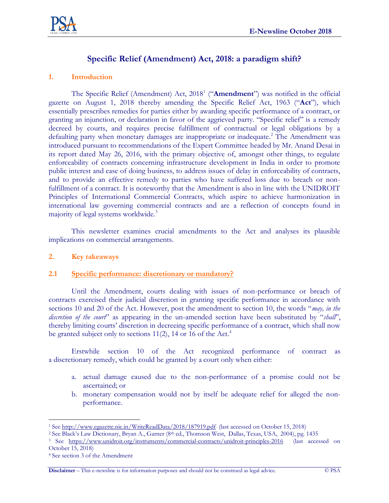

# **Specific Relief (Amendment) Act, 2018: a paradigm shift?**

### **1. Introduction**

The Specific Relief (Amendment) Act, 2018<sup>1</sup> ("**Amendment**") was notified in the official gazette on August 1, 2018 thereby amending the Specific Relief Act, 1963 ("**Act**"), which essentially prescribes remedies for parties either by awarding specific performance of a contract, or granting an injunction, or declaration in favor of the aggrieved party. "Specific relief" is a remedy decreed by courts, and requires precise fulfillment of contractual or legal obligations by a defaulting party when monetary damages are inappropriate or inadequate.<sup>2</sup> The Amendment was introduced pursuant to recommendations of the Expert Committee headed by Mr. Anand Desai in its report dated May 26, 2016, with the primary objective of, amongst other things, to regulate enforceability of contracts concerning infrastructure development in India in order to promote public interest and ease of doing business, to address issues of delay in enforceability of contracts, and to provide an effective remedy to parties who have suffered loss due to breach or nonfulfillment of a contract. It is noteworthy that the Amendment is also in line with the UNIDROIT Principles of International Commercial Contracts, which aspire to achieve harmonization in international law governing commercial contracts and are a reflection of concepts found in majority of legal systems worldwide.<sup>3</sup>

This newsletter examines crucial amendments to the Act and analyses its plausible implications on commercial arrangements.

### **2. Key takeaways**

### **2.1 Specific performance: discretionary or mandatory?**

Until the Amendment, courts dealing with issues of non-performance or breach of contracts exercised their judicial discretion in granting specific performance in accordance with sections 10 and 20 of the Act. However, post the amendment to section 10, the words "*may, in the discretion of the court*" as appearing in the un-amended section have been substituted by "*shall*", thereby limiting courts' discretion in decreeing specific performance of a contract, which shall now be granted subject only to sections  $11(2)$ , 14 or 16 of the Act.<sup>4</sup>

Erstwhile section 10 of the Act recognized performance of contract as a discretionary remedy, which could be granted by a court only when either:

- a. actual damage caused due to the non-performance of a promise could not be ascertained; or
- b. monetary compensation would not by itself be adequate relief for alleged the nonperformance.

 $\overline{a}$ <sup>1</sup> Se[e http://www.egazette.nic.in/WriteReadData/2018/187919.pdf](http://www.egazette.nic.in/WriteReadData/2018/187919.pdf) (last accessed on October 15, 2018)

<sup>2</sup> See Black's Law Dictionary, Bryan A., Garner (8th ed., Thomson West, Dallas, Texas, USA, 2004), pg. 1435

<sup>3</sup> See <https://www.unidroit.org/instruments/commercial-contracts/unidroit-principles-2016>(last accessed on October 15, 2018)

<sup>4</sup> See section 3 of the Amendment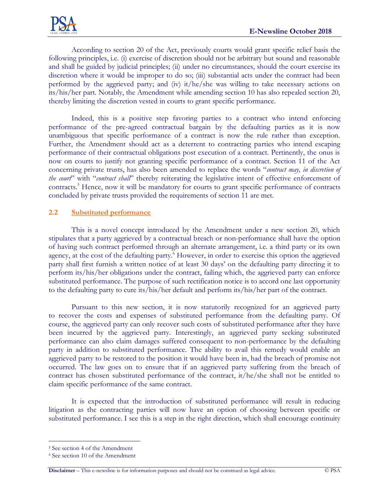According to section 20 of the Act, previously courts would grant specific relief basis the following principles, i.e. (i) exercise of discretion should not be arbitrary but sound and reasonable and shall be guided by judicial principles; (ii) under no circumstances, should the court exercise its discretion where it would be improper to do so; (iii) substantial acts under the contract had been performed by the aggrieved party; and (iv) it/he/she was willing to take necessary actions on its/his/her part. Notably, the Amendment while amending section 10 has also repealed section 20, thereby limiting the discretion vested in courts to grant specific performance.

Indeed, this is a positive step favoring parties to a contract who intend enforcing performance of the pre-agreed contractual bargain by the defaulting parties as it is now unambiguous that specific performance of a contract is now the rule rather than exception. Further, the Amendment should act as a deterrent to contracting parties who intend escaping performance of their contractual obligations post execution of a contract. Pertinently, the onus is now on courts to justify not granting specific performance of a contract. Section 11 of the Act concerning private trusts, has also been amended to replace the words "*contract may, in discretion of the court*" with "*contract shall*" thereby reiterating the legislative intent of effective enforcement of contracts.<sup>5</sup> Hence, now it will be mandatory for courts to grant specific performance of contracts concluded by private trusts provided the requirements of section 11 are met.

# **2.2 Substituted performance**

This is a novel concept introduced by the Amendment under a new section 20, which stipulates that a party aggrieved by a contractual breach or non-performance shall have the option of having such contract performed through an alternate arrangement, i.e. a third party or its own agency, at the cost of the defaulting party.<sup>6</sup> However, in order to exercise this option the aggrieved party shall first furnish a written notice of at least 30 days' on the defaulting party directing it to perform its/his/her obligations under the contract, failing which, the aggrieved party can enforce substituted performance. The purpose of such rectification notice is to accord one last opportunity to the defaulting party to cure its/his/her default and perform its/his/her part of the contract.

Pursuant to this new section, it is now statutorily recognized for an aggrieved party to recover the costs and expenses of substituted performance from the defaulting party. Of course, the aggrieved party can only recover such costs of substituted performance after they have been incurred by the aggrieved party. Interestingly, an aggrieved party seeking substituted performance can also claim damages suffered consequent to non-performance by the defaulting party in addition to substituted performance. The ability to avail this remedy would enable an aggrieved party to be restored to the position it would have been in, had the breach of promise not occurred. The law goes on to ensure that if an aggrieved party suffering from the breach of contract has chosen substituted performance of the contract, it/he/she shall not be entitled to claim specific performance of the same contract.

It is expected that the introduction of substituted performance will result in reducing litigation as the contracting parties will now have an option of choosing between specific or substituted performance. I see this is a step in the right direction, which shall encourage continuity

 $\overline{a}$ 

<sup>5</sup> See section 4 of the Amendment

<sup>6</sup> See section 10 of the Amendment

**Disclaimer** – This e-newsline is for information purposes and should not be construed as legal advice. © PSA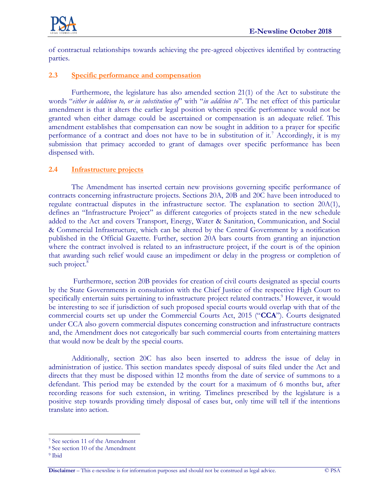

of contractual relationships towards achieving the pre-agreed objectives identified by contracting parties.

## **2.3 Specific performance and compensation**

Furthermore, the legislature has also amended section 21(1) of the Act to substitute the words "*either in addition to, or in substitution of*" with "*in addition to*". The net effect of this particular amendment is that it alters the earlier legal position wherein specific performance would not be granted when either damage could be ascertained or compensation is an adequate relief. This amendment establishes that compensation can now be sought in addition to a prayer for specific performance of a contract and does not have to be in substitution of it.<sup>7</sup> Accordingly, it is my submission that primacy accorded to grant of damages over specific performance has been dispensed with.

### **2.4 Infrastructure projects**

The Amendment has inserted certain new provisions governing specific performance of contracts concerning infrastructure projects. Sections 20A, 20B and 20C have been introduced to regulate contractual disputes in the infrastructure sector. The explanation to section 20A(1), defines an "Infrastructure Project" as different categories of projects stated in the new schedule added to the Act and covers Transport, Energy, Water & Sanitation, Communication, and Social & Commercial Infrastructure, which can be altered by the Central Government by a notification published in the Official Gazette. Further, section 20A bars courts from granting an injunction where the contract involved is related to an infrastructure project, if the court is of the opinion that awarding such relief would cause an impediment or delay in the progress or completion of such project.<sup>8</sup>

Furthermore, section 20B provides for creation of civil courts designated as special courts by the State Governments in consultation with the Chief Justice of the respective High Court to specifically entertain suits pertaining to infrastructure project related contracts.<sup>9</sup> However, it would be interesting to see if jurisdiction of such proposed special courts would overlap with that of the commercial courts set up under the Commercial Courts Act, 2015 ("**CCA**"). Courts designated under CCA also govern commercial disputes concerning construction and infrastructure contracts and, the Amendment does not categorically bar such commercial courts from entertaining matters that would now be dealt by the special courts.

Additionally, section 20C has also been inserted to address the issue of delay in administration of justice. This section mandates speedy disposal of suits filed under the Act and directs that they must be disposed within 12 months from the date of service of summons to a defendant. This period may be extended by the court for a maximum of 6 months but, after recording reasons for such extension, in writing. Timelines prescribed by the legislature is a positive step towards providing timely disposal of cases but, only time will tell if the intentions translate into action.

 $\overline{a}$ 

<sup>7</sup> See section 11 of the Amendment

<sup>8</sup> See section 10 of the Amendment

<sup>9</sup> Ibid